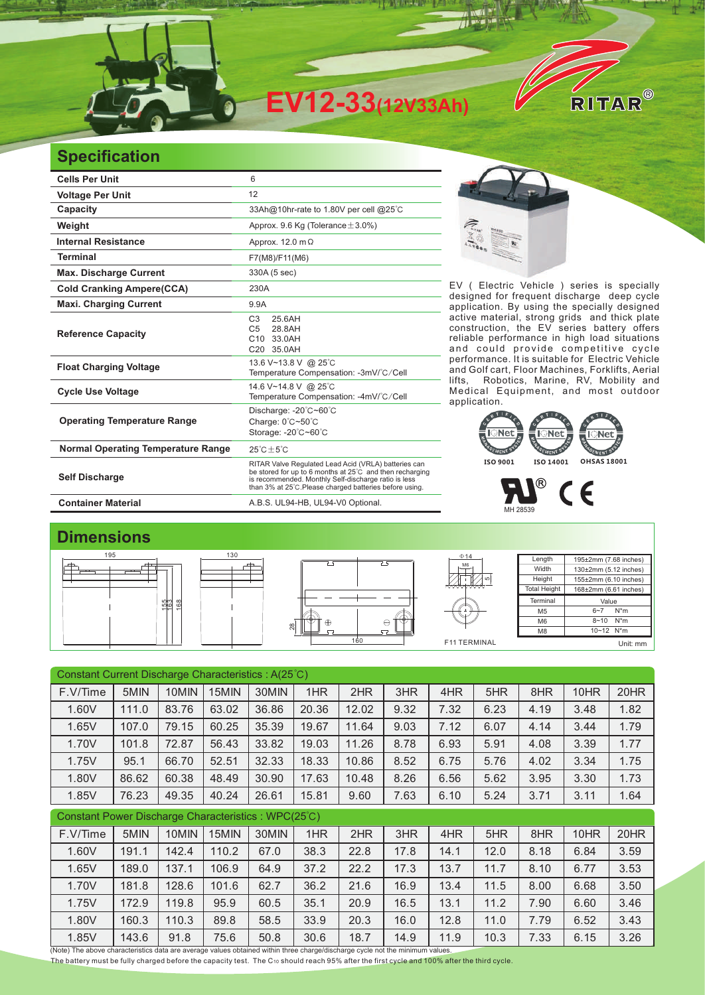

## **Specification**

| <b>Cells Per Unit</b>                     | 6                                                                                                                                                                                                                                   |  |  |  |  |  |
|-------------------------------------------|-------------------------------------------------------------------------------------------------------------------------------------------------------------------------------------------------------------------------------------|--|--|--|--|--|
| <b>Voltage Per Unit</b>                   | 12                                                                                                                                                                                                                                  |  |  |  |  |  |
| Capacity                                  | 33Ah@10hr-rate to 1.80V per cell @25°C                                                                                                                                                                                              |  |  |  |  |  |
| Weight                                    | Approx. 9.6 Kg (Tolerance $\pm$ 3.0%)                                                                                                                                                                                               |  |  |  |  |  |
| <b>Internal Resistance</b>                | Approx. 12.0 m $\Omega$                                                                                                                                                                                                             |  |  |  |  |  |
| <b>Terminal</b>                           | F7(M8)/F11(M6)                                                                                                                                                                                                                      |  |  |  |  |  |
| <b>Max. Discharge Current</b>             | 330A (5 sec)                                                                                                                                                                                                                        |  |  |  |  |  |
| <b>Cold Cranking Ampere(CCA)</b>          | 230A                                                                                                                                                                                                                                |  |  |  |  |  |
| <b>Maxi. Charging Current</b>             | 9.9A                                                                                                                                                                                                                                |  |  |  |  |  |
| <b>Reference Capacity</b>                 | C <sub>3</sub><br>25.6AH<br>28.8AH<br>C <sub>5</sub><br>33.0AH<br>C <sub>10</sub><br>C20 35.0AH                                                                                                                                     |  |  |  |  |  |
| <b>Float Charging Voltage</b>             | 13.6 V~13.8 V @ 25°C<br>Temperature Compensation: -3mV/°C/Cell                                                                                                                                                                      |  |  |  |  |  |
| <b>Cycle Use Voltage</b>                  | 14.6 V~14.8 V @ 25°C<br>Temperature Compensation: -4mV/°C/Cell                                                                                                                                                                      |  |  |  |  |  |
| <b>Operating Temperature Range</b>        | Discharge: -20°C~60°C<br>Charge: $0^{\circ}$ C $\sim$ 50 $^{\circ}$ C<br>Storage: -20°C~60°C                                                                                                                                        |  |  |  |  |  |
| <b>Normal Operating Temperature Range</b> | $25^{\circ}$ C + 5 $^{\circ}$ C                                                                                                                                                                                                     |  |  |  |  |  |
| <b>Self Discharge</b>                     | RITAR Valve Regulated Lead Acid (VRLA) batteries can<br>be stored for up to 6 months at 25°C and then recharging<br>is recommended. Monthly Self-discharge ratio is less<br>than 3% at 25°C. Please charged batteries before using. |  |  |  |  |  |
| <b>Container Material</b>                 | A.B.S. UL94-HB, UL94-V0 Optional.                                                                                                                                                                                                   |  |  |  |  |  |



EV ( Electric Vehicle ) series is specially designed for frequent discharge deep cycle application. By using the specially designed active material, strong grids and thick plate construction, the EV series battery offers reliable performance in high load situations and could provide competitive cycle performance. It is suitable for Electric Vehicle and Golf cart, Floor Machines, Forklifts, Aerial lifts, Robotics, Marine, RV, Mobility and Medical Equipment, and most outdoor application. It is suitable for



## Л MH 28539

## **Dimensions**



| Constant Current Discharge Characteristics: A(25°C)                                                                                    |       |       |       |       |       |       |      |      |      |      |      |      |
|----------------------------------------------------------------------------------------------------------------------------------------|-------|-------|-------|-------|-------|-------|------|------|------|------|------|------|
| F.V/Time                                                                                                                               | 5MIN  | 10MIN | 15MIN | 30MIN | 1HR   | 2HR   | 3HR  | 4HR  | 5HR  | 8HR  | 10HR | 20HR |
| 1.60V                                                                                                                                  | 111.0 | 83.76 | 63.02 | 36.86 | 20.36 | 12.02 | 9.32 | 7.32 | 6.23 | 4.19 | 3.48 | 1.82 |
| 1.65V                                                                                                                                  | 107.0 | 79.15 | 60.25 | 35.39 | 19.67 | 11.64 | 9.03 | 7.12 | 6.07 | 4.14 | 3.44 | 1.79 |
| 1.70V                                                                                                                                  | 101.8 | 72.87 | 56.43 | 33.82 | 19.03 | 11.26 | 8.78 | 6.93 | 5.91 | 4.08 | 3.39 | 1.77 |
| 1.75V                                                                                                                                  | 95.1  | 66.70 | 52.51 | 32.33 | 18.33 | 10.86 | 8.52 | 6.75 | 5.76 | 4.02 | 3.34 | 1.75 |
| 1.80V                                                                                                                                  | 86.62 | 60.38 | 48.49 | 30.90 | 17.63 | 10.48 | 8.26 | 6.56 | 5.62 | 3.95 | 3.30 | 1.73 |
| 1.85V                                                                                                                                  | 76.23 | 49.35 | 40.24 | 26.61 | 15.81 | 9.60  | 7.63 | 6.10 | 5.24 | 3.71 | 3.11 | 1.64 |
| Constant Power Discharge Characteristics: WPC(25°C)                                                                                    |       |       |       |       |       |       |      |      |      |      |      |      |
| F.V/Time                                                                                                                               | 5MIN  | 10MIN | 15MIN | 30MIN | 1HR   | 2HR   | 3HR  | 4HR  | 5HR  | 8HR  | 10HR | 20HR |
| 1.60V                                                                                                                                  | 191.1 | 142.4 | 110.2 | 67.0  | 38.3  | 22.8  | 17.8 | 14.1 | 12.0 | 8.18 | 6.84 | 3.59 |
| 1.65V                                                                                                                                  | 189.0 | 137.1 | 106.9 | 64.9  | 37.2  | 22.2  | 17.3 | 13.7 | 11.7 | 8.10 | 6.77 | 3.53 |
| 1.70V                                                                                                                                  | 181.8 | 128.6 | 101.6 | 62.7  | 36.2  | 21.6  | 16.9 | 13.4 | 11.5 | 8.00 | 6.68 | 3.50 |
| 1.75V                                                                                                                                  | 172.9 | 119.8 | 95.9  | 60.5  | 35.1  | 20.9  | 16.5 | 13.1 | 11.2 | 7.90 | 6.60 | 3.46 |
| 1.80V                                                                                                                                  | 160.3 | 110.3 | 89.8  | 58.5  | 33.9  | 20.3  | 16.0 | 12.8 | 11.0 | 7.79 | 6.52 | 3.43 |
| 1.85V<br>(Note) The above characteristics data are average values obtained within three charge/discharge cycle not the minimum values. | 143.6 | 91.8  | 75.6  | 50.8  | 30.6  | 18.7  | 14.9 | 11.9 | 10.3 | 7.33 | 6.15 | 3.26 |

The battery must be fully charged before the capacity test. The C10 should reach 95% after the first cycle and 100% after the third cycle.